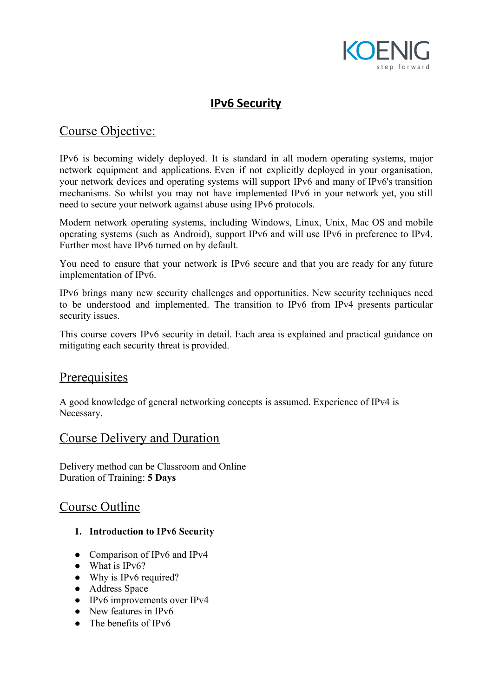

# **IPv6 Security**

# Course Objective:

IPv6 is becoming widely deployed. It is standard in all modern operating systems, major network equipment and applications. Even if not explicitly deployed in your organisation, your network devices and operating systems will support IPv6 and many of IPv6's transition mechanisms. So whilst you may not have implemented IPv6 in your network yet, you still need to secure your network against abuse using IPv6 protocols.

Modern network operating systems, including Windows, Linux, Unix, Mac OS and mobile operating systems (such as Android), support IPv6 and will use IPv6 in preference to IPv4. Further most have IPv6 turned on by default.

You need to ensure that your network is IPv6 secure and that you are ready for any future implementation of IPv6.

IPv6 brings many new security challenges and opportunities. New security techniques need to be understood and implemented. The transition to IPv6 from IPv4 presents particular security issues.

This course covers IPv6 security in detail. Each area is explained and practical guidance on mitigating each security threat is provided.

# **Prerequisites**

A good knowledge of general networking concepts is assumed. Experience of IPv4 is Necessary.

## Course Delivery and Duration

Delivery method can be Classroom and Online Duration of Training: **5 Days**

# Course Outline

- **1. Introduction to IPv6 Security**
- Comparison of IPv6 and IPv4
- What is IPv6?
- Why is IPv6 required?
- Address Space
- IPv6 improvements over IPv4
- New features in IPv6
- The benefits of IPv6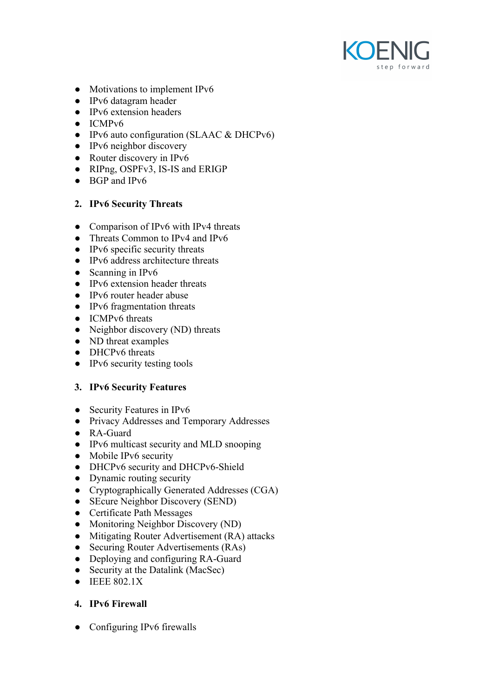

- Motivations to implement IPv6
- IPv6 datagram header
- IPv6 extension headers
- ICMPv6
- IPv6 auto configuration (SLAAC & DHCPv6)
- IPv6 neighbor discovery
- Router discovery in IPv6
- RIPng, OSPFv3, IS-IS and ERIGP
- BGP and IPv6

#### **2. IPv6 Security Threats**

- Comparison of IPv6 with IPv4 threats
- Threats Common to IPv4 and IPv6
- $\bullet$  IPv6 specific security threats
- IPv6 address architecture threats
- Scanning in IPv6
- IPv6 extension header threats
- IPv6 router header abuse
- IPv6 fragmentation threats
- ICMPv6 threats
- Neighbor discovery (ND) threats
- ND threat examples
- DHCPv6 threats
- $\bullet$  IPv6 security testing tools

#### **3. IPv6 Security Features**

- **●** Security Features in IPv6
- **●** Privacy Addresses and Temporary Addresses
- **●** RA-Guard
- IPv6 multicast security and MLD snooping
- Mobile IPv6 security
- DHCPv6 security and DHCPv6-Shield
- Dynamic routing security
- Cryptographically Generated Addresses (CGA)
- SEcure Neighbor Discovery (SEND)
- Certificate Path Messages
- Monitoring Neighbor Discovery (ND)
- Mitigating Router Advertisement (RA) attacks
- Securing Router Advertisements (RAs)
- Deploying and configuring RA-Guard
- Security at the Datalink (MacSec)
- IEEE 802.1X

### **4. IPv6 Firewall**

**●** Configuring IPv6 firewalls